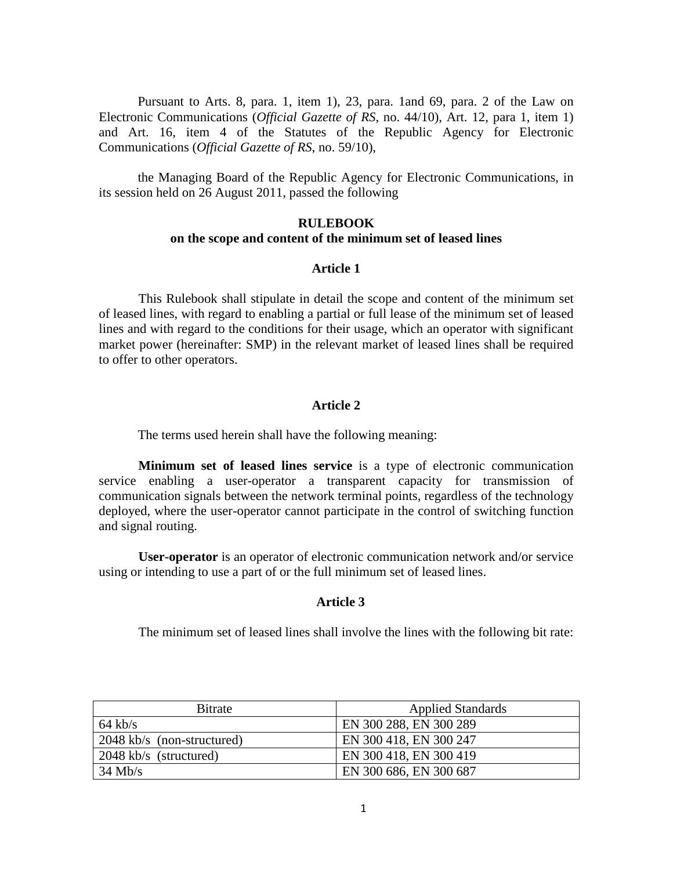Pursuant to Arts. 8, para. 1, item 1), 23, para. 1and 69, para. 2 of the Law on Electronic Communications (*Official Gazette of RS*, no. 44/10), Art. 12, para 1, item 1) and Art. 16, item 4 of the Statutes of the Republic Agency for Electronic Communications (*Official Gazette of RS*, no. 59/10),

the Managing Board of the Republic Agency for Electronic Communications, in its session held on 26 August 2011, passed the following

# **RULEBOOK on the scope and content of the minimum set of leased lines**

## **Article 1**

This Rulebook shall stipulate in detail the scope and content of the minimum set of leased lines, with regard to enabling a partial or full lease of the minimum set of leased lines and with regard to the conditions for their usage, which an operator with significant market power (hereinafter: SMP) in the relevant market of leased lines shall be required to offer to other operators.

# **Article 2**

The terms used herein shall have the following meaning:

**Minimum set of leased lines service** is a type of electronic communication service enabling a user-operator a transparent capacity for transmission of communication signals between the network terminal points, regardless of the technology deployed, where the user-operator cannot participate in the control of switching function and signal routing.

**User-operator** is an operator of electronic communication network and/or service using or intending to use a part of or the full minimum set of leased lines.

#### **Article 3**

The minimum set of leased lines shall involve the lines with the following bit rate:

| <b>Bitrate</b>             | <b>Applied Standards</b> |
|----------------------------|--------------------------|
| $64$ kb/s                  | EN 300 288, EN 300 289   |
| 2048 kb/s (non-structured) | EN 300 418, EN 300 247   |
| 2048 kb/s (structured)     | EN 300 418, EN 300 419   |
| $34$ Mb/s                  | EN 300 686, EN 300 687   |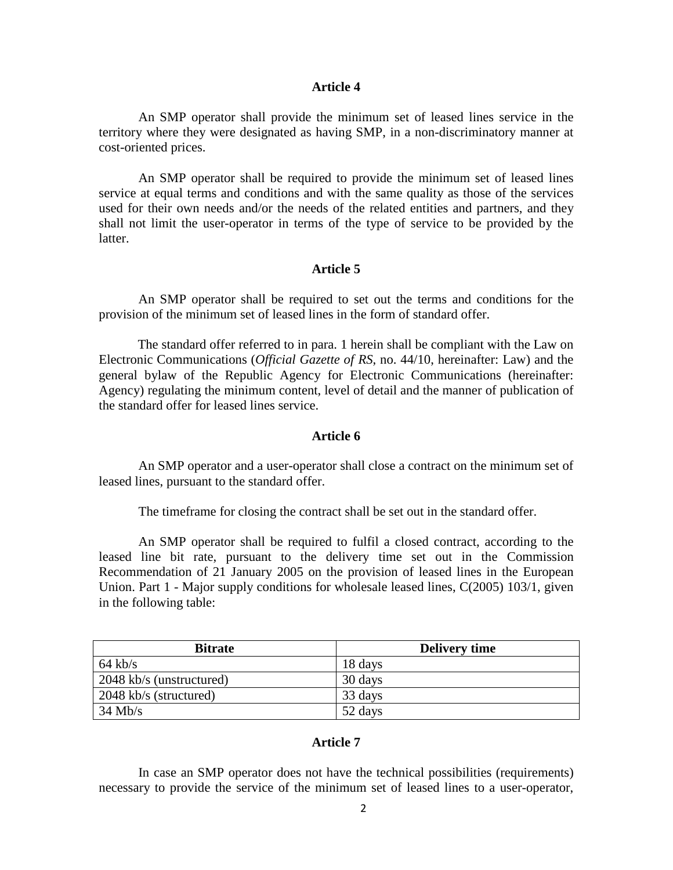#### **Article 4**

An SMP operator shall provide the minimum set of leased lines service in the territory where they were designated as having SMP, in a non-discriminatory manner at cost-oriented prices.

An SMP operator shall be required to provide the minimum set of leased lines service at equal terms and conditions and with the same quality as those of the services used for their own needs and/or the needs of the related entities and partners, and they shall not limit the user-operator in terms of the type of service to be provided by the latter.

### **Article 5**

An SMP operator shall be required to set out the terms and conditions for the provision of the minimum set of leased lines in the form of standard offer.

The standard offer referred to in para. 1 herein shall be compliant with the Law on Electronic Communications (*Official Gazette of RS*, no. 44/10, hereinafter: Law) and the general bylaw of the Republic Agency for Electronic Communications (hereinafter: Agency) regulating the minimum content, level of detail and the manner of publication of the standard offer for leased lines service.

### **Article 6**

An SMP operator and a user-operator shall close a contract on the minimum set of leased lines, pursuant to the standard offer.

The timeframe for closing the contract shall be set out in the standard offer.

An SMP operator shall be required to fulfil a closed contract, according to the leased line bit rate, pursuant to the delivery time set out in the Commission Recommendation of 21 January 2005 on the provision of leased lines in the European Union. Part 1 - Major supply conditions for wholesale leased lines, C(2005) 103/1, given in the following table:

| <b>Bitrate</b>           | <b>Delivery time</b> |
|--------------------------|----------------------|
| $64$ kb/s                | 18 days              |
| 2048 kb/s (unstructured) | 30 days              |
| 2048 kb/s (structured)   | 33 days              |
| $34$ Mb/s                | 52 days              |

#### **Article 7**

In case an SMP operator does not have the technical possibilities (requirements) necessary to provide the service of the minimum set of leased lines to a user-operator,